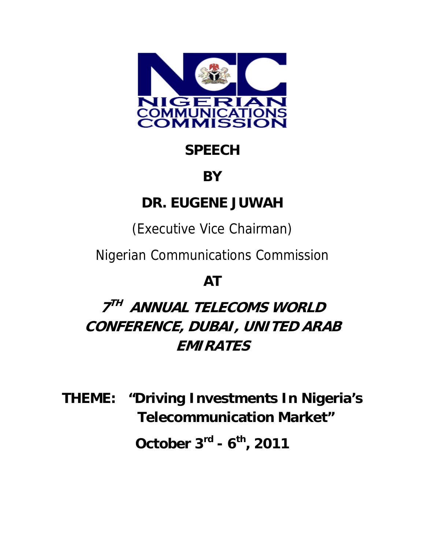

# **SPEECH**

### **BY**

# **DR. EUGENE JUWAH**

(Executive Vice Chairman)

Nigerian Communications Commission

# **AT**

# **7TH ANNUAL TELECOMS WORLD CONFERENCE, DUBAI, UNITED ARAB EMIRATES**

**THEME: "Driving Investments In Nigeria's Telecommunication Market"**

**October 3rd - 6th, 2011**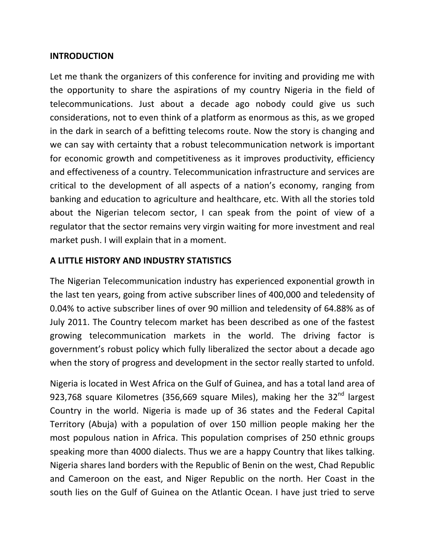#### **INTRODUCTION**

Let me thank the organizers of this conference for inviting and providing me with the opportunity to share the aspirations of my country Nigeria in the field of telecommunications. Just about a decade ago nobody could give us such considerations, not to even think of a platform as enormous as this, as we groped in the dark in search of a befitting telecoms route. Now the story is changing and we can say with certainty that a robust telecommunication network is important for economic growth and competitiveness as it improves productivity, efficiency and effectiveness of a country. Telecommunication infrastructure and services are critical to the development of all aspects of a nation's economy, ranging from banking and education to agriculture and healthcare, etc. With all the stories told about the Nigerian telecom sector, I can speak from the point of view of a regulator that the sector remains very virgin waiting for more investment and real market push. I will explain that in a moment.

### **A LITTLE HISTORY AND INDUSTRY STATISTICS**

The Nigerian Telecommunication industry has experienced exponential growth in the last ten years, going from active subscriber lines of 400,000 and teledensity of 0.04% to active subscriber lines of over 90 million and teledensity of 64.88% as of July 2011. The Country telecom market has been described as one of the fastest growing telecommunication markets in the world. The driving factor is government's robust policy which fully liberalized the sector about a decade ago when the story of progress and development in the sector really started to unfold.

Nigeria is located in West Africa on the Gulf of Guinea, and has a total land area of 923,768 square Kilometres (356,669 square Miles), making her the  $32<sup>nd</sup>$  largest Country in the world. Nigeria is made up of 36 states and the Federal Capital Territory (Abuja) with a population of over 150 million people making her the most populous nation in Africa. This population comprises of 250 ethnic groups speaking more than 4000 dialects. Thus we are a happy Country that likes talking. Nigeria shares land borders with the Republic of Benin on the west, Chad Republic and Cameroon on the east, and Niger Republic on the north. Her Coast in the south lies on the Gulf of Guinea on the Atlantic Ocean. I have just tried to serve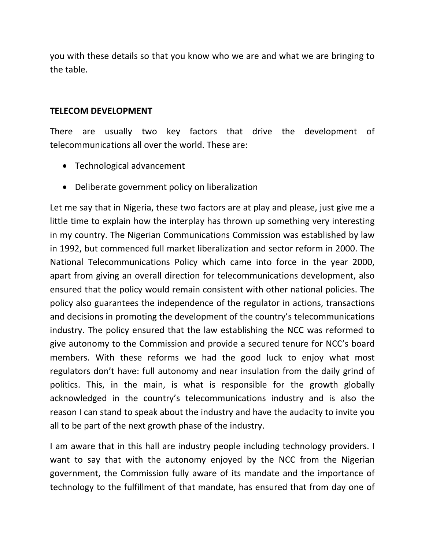you with these details so that you know who we are and what we are bringing to the table.

#### **TELECOM DEVELOPMENT**

There are usually two key factors that drive the development of telecommunications all over the world. These are:

- Technological advancement
- Deliberate government policy on liberalization

Let me say that in Nigeria, these two factors are at play and please, just give me a little time to explain how the interplay has thrown up something very interesting in my country. The Nigerian Communications Commission was established by law in 1992, but commenced full market liberalization and sector reform in 2000. The National Telecommunications Policy which came into force in the year 2000, apart from giving an overall direction for telecommunications development, also ensured that the policy would remain consistent with other national policies. The policy also guarantees the independence of the regulator in actions, transactions and decisions in promoting the development of the country's telecommunications industry. The policy ensured that the law establishing the NCC was reformed to give autonomy to the Commission and provide a secured tenure for NCC's board members. With these reforms we had the good luck to enjoy what most regulators don't have: full autonomy and near insulation from the daily grind of politics. This, in the main, is what is responsible for the growth globally acknowledged in the country's telecommunications industry and is also the reason I can stand to speak about the industry and have the audacity to invite you all to be part of the next growth phase of the industry.

I am aware that in this hall are industry people including technology providers. I want to say that with the autonomy enjoyed by the NCC from the Nigerian government, the Commission fully aware of its mandate and the importance of technology to the fulfillment of that mandate, has ensured that from day one of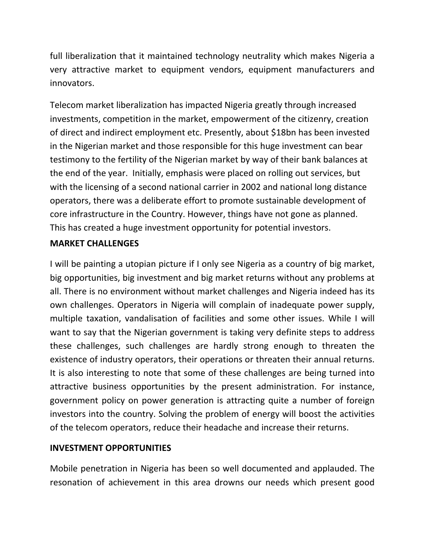full liberalization that it maintained technology neutrality which makes Nigeria a very attractive market to equipment vendors, equipment manufacturers and innovators.

Telecom market liberalization has impacted Nigeria greatly through increased investments, competition in the market, empowerment of the citizenry, creation of direct and indirect employment etc. Presently, about \$18bn has been invested in the Nigerian market and those responsible for this huge investment can bear testimony to the fertility of the Nigerian market by way of their bank balances at the end of the year. Initially, emphasis were placed on rolling out services, but with the licensing of a second national carrier in 2002 and national long distance operators, there was a deliberate effort to promote sustainable development of core infrastructure in the Country. However, things have not gone as planned. This has created a huge investment opportunity for potential investors.

### **MARKET CHALLENGES**

I will be painting a utopian picture if I only see Nigeria as a country of big market, big opportunities, big investment and big market returns without any problems at all. There is no environment without market challenges and Nigeria indeed has its own challenges. Operators in Nigeria will complain of inadequate power supply, multiple taxation, vandalisation of facilities and some other issues. While I will want to say that the Nigerian government is taking very definite steps to address these challenges, such challenges are hardly strong enough to threaten the existence of industry operators, their operations or threaten their annual returns. It is also interesting to note that some of these challenges are being turned into attractive business opportunities by the present administration. For instance, government policy on power generation is attracting quite a number of foreign investors into the country. Solving the problem of energy will boost the activities of the telecom operators, reduce their headache and increase their returns.

### **INVESTMENT OPPORTUNITIES**

Mobile penetration in Nigeria has been so well documented and applauded. The resonation of achievement in this area drowns our needs which present good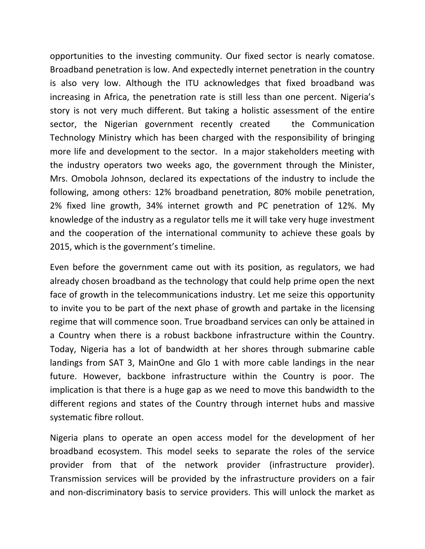opportunities to the investing community. Our fixed sector is nearly comatose. Broadband penetration is low. And expectedly internet penetration in the country is also very low. Although the ITU acknowledges that fixed broadband was increasing in Africa, the penetration rate is still less than one percent. Nigeria's story is not very much different. But taking a holistic assessment of the entire sector, the Nigerian government recently created the Communication Technology Ministry which has been charged with the responsibility of bringing more life and development to the sector. In a major stakeholders meeting with the industry operators two weeks ago, the government through the Minister, Mrs. Omobola Johnson, declared its expectations of the industry to include the following, among others: 12% broadband penetration, 80% mobile penetration, 2% fixed line growth, 34% internet growth and PC penetration of 12%. My knowledge of the industry as a regulator tells me it will take very huge investment and the cooperation of the international community to achieve these goals by 2015, which is the government's timeline.

Even before the government came out with its position, as regulators, we had already chosen broadband as the technology that could help prime open the next face of growth in the telecommunications industry. Let me seize this opportunity to invite you to be part of the next phase of growth and partake in the licensing regime that will commence soon. True broadband services can only be attained in a Country when there is a robust backbone infrastructure within the Country. Today, Nigeria has a lot of bandwidth at her shores through submarine cable landings from SAT 3, MainOne and Glo 1 with more cable landings in the near future. However, backbone infrastructure within the Country is poor. The implication is that there is a huge gap as we need to move this bandwidth to the different regions and states of the Country through internet hubs and massive systematic fibre rollout.

Nigeria plans to operate an open access model for the development of her broadband ecosystem. This model seeks to separate the roles of the service provider from that of the network provider (infrastructure provider). Transmission services will be provided by the infrastructure providers on a fair and non-discriminatory basis to service providers. This will unlock the market as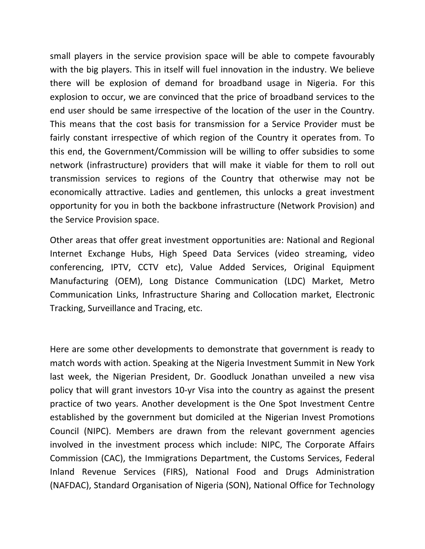small players in the service provision space will be able to compete favourably with the big players. This in itself will fuel innovation in the industry. We believe there will be explosion of demand for broadband usage in Nigeria. For this explosion to occur, we are convinced that the price of broadband services to the end user should be same irrespective of the location of the user in the Country. This means that the cost basis for transmission for a Service Provider must be fairly constant irrespective of which region of the Country it operates from. To this end, the Government/Commission will be willing to offer subsidies to some network (infrastructure) providers that will make it viable for them to roll out transmission services to regions of the Country that otherwise may not be economically attractive. Ladies and gentlemen, this unlocks a great investment opportunity for you in both the backbone infrastructure (Network Provision) and the Service Provision space.

Other areas that offer great investment opportunities are: National and Regional Internet Exchange Hubs, High Speed Data Services (video streaming, video conferencing, IPTV, CCTV etc), Value Added Services, Original Equipment Manufacturing (OEM), Long Distance Communication (LDC) Market, Metro Communication Links, Infrastructure Sharing and Collocation market, Electronic Tracking, Surveillance and Tracing, etc.

Here are some other developments to demonstrate that government is ready to match words with action. Speaking at the Nigeria Investment Summit in New York last week, the Nigerian President, Dr. Goodluck Jonathan unveiled a new visa policy that will grant investors 10‐yr Visa into the country as against the present practice of two years. Another development is the One Spot Investment Centre established by the government but domiciled at the Nigerian Invest Promotions Council (NIPC). Members are drawn from the relevant government agencies involved in the investment process which include: NIPC, The Corporate Affairs Commission (CAC), the Immigrations Department, the Customs Services, Federal Inland Revenue Services (FIRS), National Food and Drugs Administration (NAFDAC), Standard Organisation of Nigeria (SON), National Office for Technology